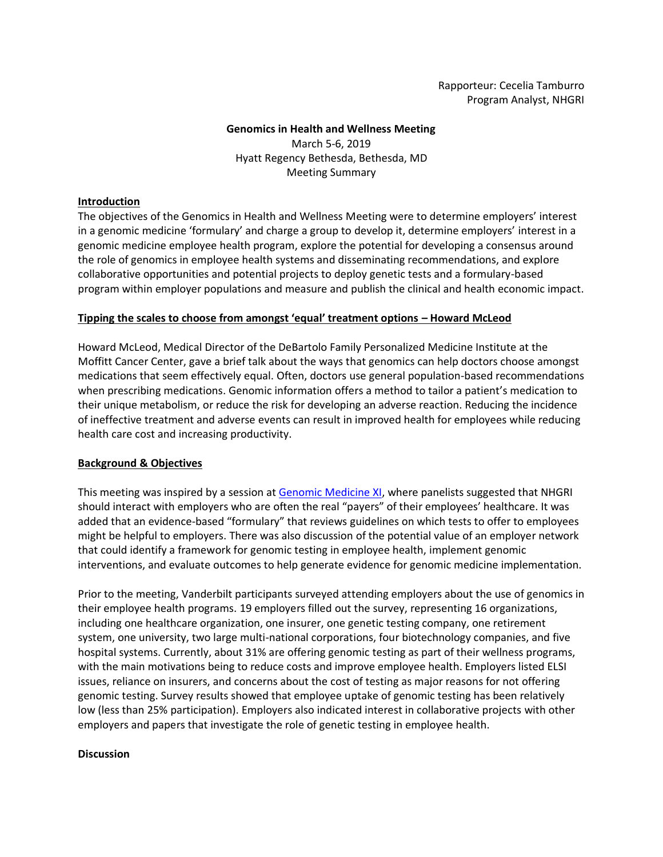Rapporteur: Cecelia Tamburro Program Analyst, NHGRI

## **Genomics in Health and Wellness Meeting**  March 5-6, 2019 Hyatt Regency Bethesda, Bethesda, MD Meeting Summary

## **Introduction**

The objectives of the Genomics in Health and Wellness Meeting were to determine employers' interest in a genomic medicine 'formulary' and charge a group to develop it, determine employers' interest in a genomic medicine employee health program, explore the potential for developing a consensus around the role of genomics in employee health systems and disseminating recommendations, and explore collaborative opportunities and potential projects to deploy genetic tests and a formulary-based program within employer populations and measure and publish the clinical and health economic impact.

## **Tipping the scales to choose from amongst 'equal' treatment options – Howard McLeod**

Howard McLeod, Medical Director of the DeBartolo Family Personalized Medicine Institute at the Moffitt Cancer Center, gave a brief talk about the ways that genomics can help doctors choose amongst medications that seem effectively equal. Often, doctors use general population-based recommendations when prescribing medications. Genomic information offers a method to tailor a patient's medication to their unique metabolism, or reduce the risk for developing an adverse reaction. Reducing the incidence of ineffective treatment and adverse events can result in improved health for employees while reducing health care cost and increasing productivity.

## **Background & Objectives**

This meeting was inspired by a session a[t Genomic Medicine XI,](https://www.genome.gov/27571869/genomic-medicine-xi-research-directions-in-genomic-medicine-implementation/) where panelists suggested that NHGRI should interact with employers who are often the real "payers" of their employees' healthcare. It was added that an evidence-based "formulary" that reviews guidelines on which tests to offer to employees might be helpful to employers. There was also discussion of the potential value of an employer network that could identify a framework for genomic testing in employee health, implement genomic interventions, and evaluate outcomes to help generate evidence for genomic medicine implementation.

Prior to the meeting, Vanderbilt participants surveyed attending employers about the use of genomics in their employee health programs. 19 employers filled out the survey, representing 16 organizations, including one healthcare organization, one insurer, one genetic testing company, one retirement system, one university, two large multi-national corporations, four biotechnology companies, and five hospital systems. Currently, about 31% are offering genomic testing as part of their wellness programs, with the main motivations being to reduce costs and improve employee health. Employers listed ELSI issues, reliance on insurers, and concerns about the cost of testing as major reasons for not offering genomic testing. Survey results showed that employee uptake of genomic testing has been relatively low (less than 25% participation). Employers also indicated interest in collaborative projects with other employers and papers that investigate the role of genetic testing in employee health.

## **Discussion**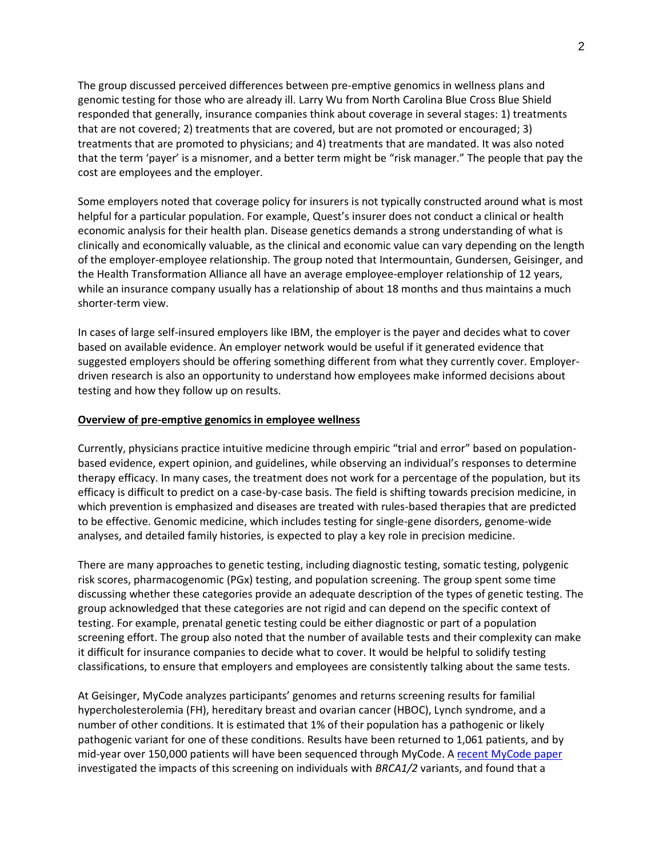The group discussed perceived differences between pre-emptive genomics in wellness plans and genomic testing for those who are already ill. Larry Wu from North Carolina Blue Cross Blue Shield responded that generally, insurance companies think about coverage in several stages: 1) treatments that are not covered; 2) treatments that are covered, but are not promoted or encouraged; 3) treatments that are promoted to physicians; and 4) treatments that are mandated. It was also noted that the term 'payer' is a misnomer, and a better term might be "risk manager." The people that pay the cost are employees and the employer.

Some employers noted that coverage policy for insurers is not typically constructed around what is most helpful for a particular population. For example, Quest's insurer does not conduct a clinical or health economic analysis for their health plan. Disease genetics demands a strong understanding of what is clinically and economically valuable, as the clinical and economic value can vary depending on the length of the employer-employee relationship. The group noted that Intermountain, Gundersen, Geisinger, and the Health Transformation Alliance all have an average employee-employer relationship of 12 years, while an insurance company usually has a relationship of about 18 months and thus maintains a much shorter-term view.

In cases of large self-insured employers like IBM, the employer is the payer and decides what to cover based on available evidence. An employer network would be useful if it generated evidence that suggested employers should be offering something different from what they currently cover. Employerdriven research is also an opportunity to understand how employees make informed decisions about testing and how they follow up on results.

#### **Overview of pre-emptive genomics in employee wellness**

Currently, physicians practice intuitive medicine through empiric "trial and error" based on populationbased evidence, expert opinion, and guidelines, while observing an individual's responses to determine therapy efficacy. In many cases, the treatment does not work for a percentage of the population, but its efficacy is difficult to predict on a case-by-case basis. The field is shifting towards precision medicine, in which prevention is emphasized and diseases are treated with rules-based therapies that are predicted to be effective. Genomic medicine, which includes testing for single-gene disorders, genome-wide analyses, and detailed family histories, is expected to play a key role in precision medicine.

There are many approaches to genetic testing, including diagnostic testing, somatic testing, polygenic risk scores, pharmacogenomic (PGx) testing, and population screening. The group spent some time discussing whether these categories provide an adequate description of the types of genetic testing. The group acknowledged that these categories are not rigid and can depend on the specific context of testing. For example, prenatal genetic testing could be either diagnostic or part of a population screening effort. The group also noted that the number of available tests and their complexity can make it difficult for insurance companies to decide what to cover. It would be helpful to solidify testing classifications, to ensure that employers and employees are consistently talking about the same tests.

At Geisinger, MyCode analyzes participants' genomes and returns screening results for familial hypercholesterolemia (FH), hereditary breast and ovarian cancer (HBOC), Lynch syndrome, and a number of other conditions. It is estimated that 1% of their population has a pathogenic or likely pathogenic variant for one of these conditions. Results have been returned to 1,061 patients, and by mid-year over 150,000 patients will have been sequenced through MyCode. A [recent MyCode paper](https://jamanetwork.com/journals/jamanetworkopen/fullarticle/2703131) investigated the impacts of this screening on individuals with *BRCA1/2* variants, and found that a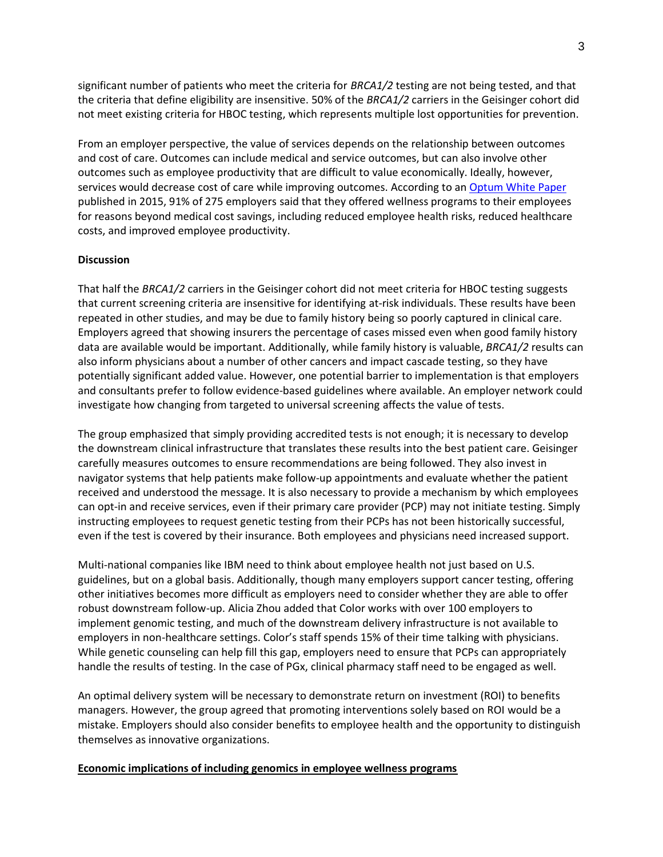significant number of patients who meet the criteria for *BRCA1/2* testing are not being tested, and that the criteria that define eligibility are insensitive. 50% of the *BRCA1/2* carriers in the Geisinger cohort did not meet existing criteria for HBOC testing, which represents multiple lost opportunities for prevention.

From an employer perspective, the value of services depends on the relationship between outcomes and cost of care. Outcomes can include medical and service outcomes, but can also involve other outcomes such as employee productivity that are difficult to value economically. Ideally, however, services would decrease cost of care while improving outcomes. According to a[n Optum White Paper](https://www.optum.com/content/dam/optum/resources/whitePapers/Beyond_ROI_health-wellness-investment.pdf) published in 2015, 91% of 275 employers said that they offered wellness programs to their employees for reasons beyond medical cost savings, including reduced employee health risks, reduced healthcare costs, and improved employee productivity.

## **Discussion**

That half the *BRCA1/2* carriers in the Geisinger cohort did not meet criteria for HBOC testing suggests that current screening criteria are insensitive for identifying at-risk individuals. These results have been repeated in other studies, and may be due to family history being so poorly captured in clinical care. Employers agreed that showing insurers the percentage of cases missed even when good family history data are available would be important. Additionally, while family history is valuable, *BRCA1/2* results can also inform physicians about a number of other cancers and impact cascade testing, so they have potentially significant added value. However, one potential barrier to implementation is that employers and consultants prefer to follow evidence-based guidelines where available. An employer network could investigate how changing from targeted to universal screening affects the value of tests.

The group emphasized that simply providing accredited tests is not enough; it is necessary to develop the downstream clinical infrastructure that translates these results into the best patient care. Geisinger carefully measures outcomes to ensure recommendations are being followed. They also invest in navigator systems that help patients make follow-up appointments and evaluate whether the patient received and understood the message. It is also necessary to provide a mechanism by which employees can opt-in and receive services, even if their primary care provider (PCP) may not initiate testing. Simply instructing employees to request genetic testing from their PCPs has not been historically successful, even if the test is covered by their insurance. Both employees and physicians need increased support.

Multi-national companies like IBM need to think about employee health not just based on U.S. guidelines, but on a global basis. Additionally, though many employers support cancer testing, offering other initiatives becomes more difficult as employers need to consider whether they are able to offer robust downstream follow-up. Alicia Zhou added that Color works with over 100 employers to implement genomic testing, and much of the downstream delivery infrastructure is not available to employers in non-healthcare settings. Color's staff spends 15% of their time talking with physicians. While genetic counseling can help fill this gap, employers need to ensure that PCPs can appropriately handle the results of testing. In the case of PGx, clinical pharmacy staff need to be engaged as well.

An optimal delivery system will be necessary to demonstrate return on investment (ROI) to benefits managers. However, the group agreed that promoting interventions solely based on ROI would be a mistake. Employers should also consider benefits to employee health and the opportunity to distinguish themselves as innovative organizations.

## **Economic implications of including genomics in employee wellness programs**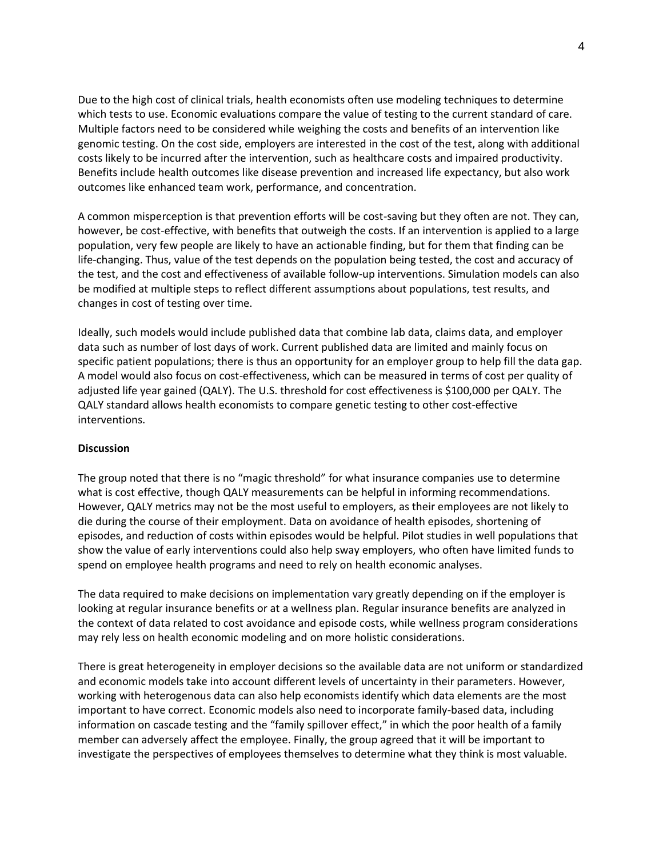Due to the high cost of clinical trials, health economists often use modeling techniques to determine which tests to use. Economic evaluations compare the value of testing to the current standard of care. Multiple factors need to be considered while weighing the costs and benefits of an intervention like genomic testing. On the cost side, employers are interested in the cost of the test, along with additional costs likely to be incurred after the intervention, such as healthcare costs and impaired productivity. Benefits include health outcomes like disease prevention and increased life expectancy, but also work outcomes like enhanced team work, performance, and concentration.

A common misperception is that prevention efforts will be cost-saving but they often are not. They can, however, be cost-effective, with benefits that outweigh the costs. If an intervention is applied to a large population, very few people are likely to have an actionable finding, but for them that finding can be life-changing. Thus, value of the test depends on the population being tested, the cost and accuracy of the test, and the cost and effectiveness of available follow-up interventions. Simulation models can also be modified at multiple steps to reflect different assumptions about populations, test results, and changes in cost of testing over time.

Ideally, such models would include published data that combine lab data, claims data, and employer data such as number of lost days of work. Current published data are limited and mainly focus on specific patient populations; there is thus an opportunity for an employer group to help fill the data gap. A model would also focus on cost-effectiveness, which can be measured in terms of cost per quality of adjusted life year gained (QALY). The U.S. threshold for cost effectiveness is \$100,000 per QALY. The QALY standard allows health economists to compare genetic testing to other cost-effective interventions.

## **Discussion**

The group noted that there is no "magic threshold" for what insurance companies use to determine what is cost effective, though QALY measurements can be helpful in informing recommendations. However, QALY metrics may not be the most useful to employers, as their employees are not likely to die during the course of their employment. Data on avoidance of health episodes, shortening of episodes, and reduction of costs within episodes would be helpful. Pilot studies in well populations that show the value of early interventions could also help sway employers, who often have limited funds to spend on employee health programs and need to rely on health economic analyses.

The data required to make decisions on implementation vary greatly depending on if the employer is looking at regular insurance benefits or at a wellness plan. Regular insurance benefits are analyzed in the context of data related to cost avoidance and episode costs, while wellness program considerations may rely less on health economic modeling and on more holistic considerations.

There is great heterogeneity in employer decisions so the available data are not uniform or standardized and economic models take into account different levels of uncertainty in their parameters. However, working with heterogenous data can also help economists identify which data elements are the most important to have correct. Economic models also need to incorporate family-based data, including information on cascade testing and the "family spillover effect," in which the poor health of a family member can adversely affect the employee. Finally, the group agreed that it will be important to investigate the perspectives of employees themselves to determine what they think is most valuable.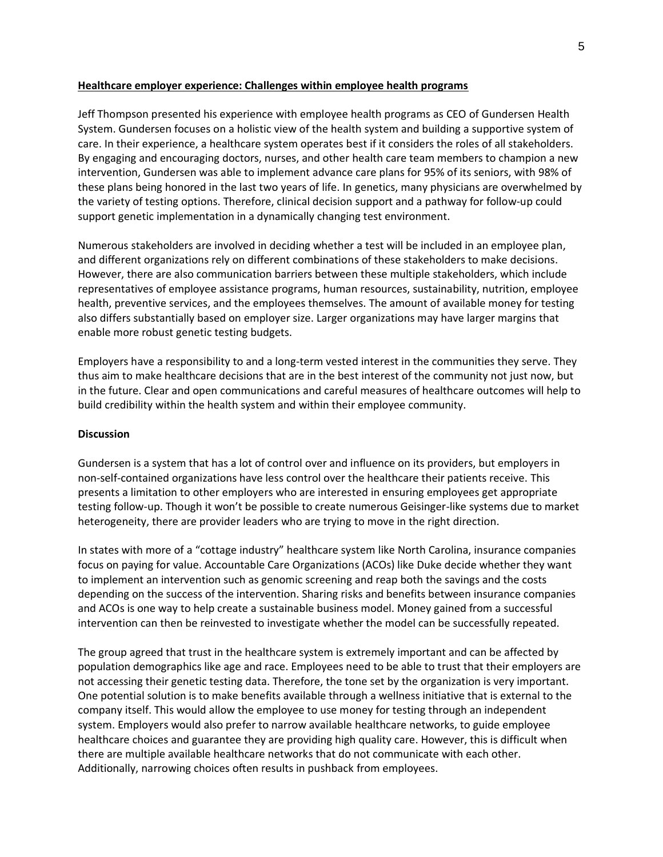#### **Healthcare employer experience: Challenges within employee health programs**

Jeff Thompson presented his experience with employee health programs as CEO of Gundersen Health System. Gundersen focuses on a holistic view of the health system and building a supportive system of care. In their experience, a healthcare system operates best if it considers the roles of all stakeholders. By engaging and encouraging doctors, nurses, and other health care team members to champion a new intervention, Gundersen was able to implement advance care plans for 95% of its seniors, with 98% of these plans being honored in the last two years of life. In genetics, many physicians are overwhelmed by the variety of testing options. Therefore, clinical decision support and a pathway for follow-up could support genetic implementation in a dynamically changing test environment.

Numerous stakeholders are involved in deciding whether a test will be included in an employee plan, and different organizations rely on different combinations of these stakeholders to make decisions. However, there are also communication barriers between these multiple stakeholders, which include representatives of employee assistance programs, human resources, sustainability, nutrition, employee health, preventive services, and the employees themselves. The amount of available money for testing also differs substantially based on employer size. Larger organizations may have larger margins that enable more robust genetic testing budgets.

Employers have a responsibility to and a long-term vested interest in the communities they serve. They thus aim to make healthcare decisions that are in the best interest of the community not just now, but in the future. Clear and open communications and careful measures of healthcare outcomes will help to build credibility within the health system and within their employee community.

#### **Discussion**

Gundersen is a system that has a lot of control over and influence on its providers, but employers in non-self-contained organizations have less control over the healthcare their patients receive. This presents a limitation to other employers who are interested in ensuring employees get appropriate testing follow-up. Though it won't be possible to create numerous Geisinger-like systems due to market heterogeneity, there are provider leaders who are trying to move in the right direction.

In states with more of a "cottage industry" healthcare system like North Carolina, insurance companies focus on paying for value. Accountable Care Organizations (ACOs) like Duke decide whether they want to implement an intervention such as genomic screening and reap both the savings and the costs depending on the success of the intervention. Sharing risks and benefits between insurance companies and ACOs is one way to help create a sustainable business model. Money gained from a successful intervention can then be reinvested to investigate whether the model can be successfully repeated.

The group agreed that trust in the healthcare system is extremely important and can be affected by population demographics like age and race. Employees need to be able to trust that their employers are not accessing their genetic testing data. Therefore, the tone set by the organization is very important. One potential solution is to make benefits available through a wellness initiative that is external to the company itself. This would allow the employee to use money for testing through an independent system. Employers would also prefer to narrow available healthcare networks, to guide employee healthcare choices and guarantee they are providing high quality care. However, this is difficult when there are multiple available healthcare networks that do not communicate with each other. Additionally, narrowing choices often results in pushback from employees.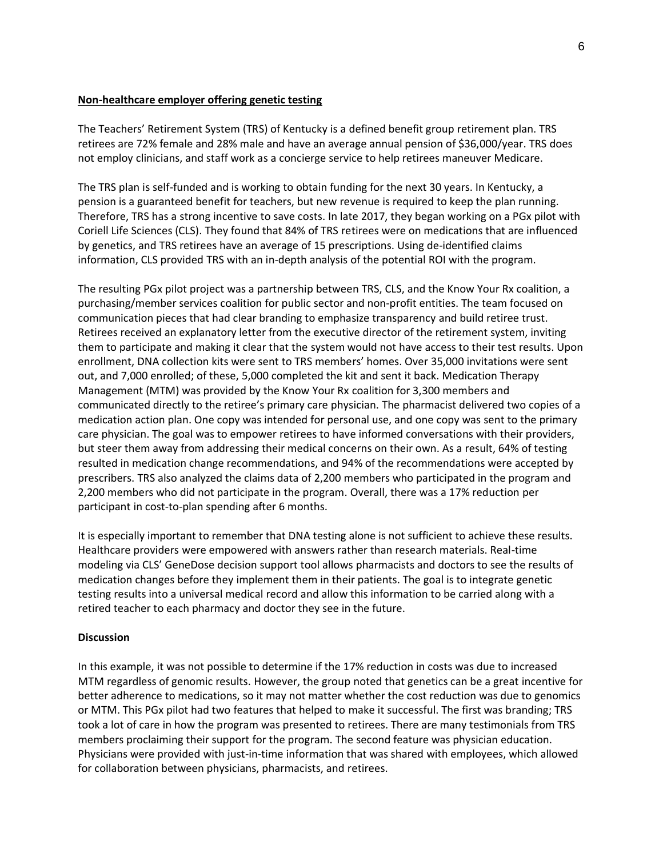#### **Non-healthcare employer offering genetic testing**

The Teachers' Retirement System (TRS) of Kentucky is a defined benefit group retirement plan. TRS retirees are 72% female and 28% male and have an average annual pension of \$36,000/year. TRS does not employ clinicians, and staff work as a concierge service to help retirees maneuver Medicare.

The TRS plan is self-funded and is working to obtain funding for the next 30 years. In Kentucky, a pension is a guaranteed benefit for teachers, but new revenue is required to keep the plan running. Therefore, TRS has a strong incentive to save costs. In late 2017, they began working on a PGx pilot with Coriell Life Sciences (CLS). They found that 84% of TRS retirees were on medications that are influenced by genetics, and TRS retirees have an average of 15 prescriptions. Using de-identified claims information, CLS provided TRS with an in-depth analysis of the potential ROI with the program.

The resulting PGx pilot project was a partnership between TRS, CLS, and the Know Your Rx coalition, a purchasing/member services coalition for public sector and non-profit entities. The team focused on communication pieces that had clear branding to emphasize transparency and build retiree trust. Retirees received an explanatory letter from the executive director of the retirement system, inviting them to participate and making it clear that the system would not have access to their test results. Upon enrollment, DNA collection kits were sent to TRS members' homes. Over 35,000 invitations were sent out, and 7,000 enrolled; of these, 5,000 completed the kit and sent it back. Medication Therapy Management (MTM) was provided by the Know Your Rx coalition for 3,300 members and communicated directly to the retiree's primary care physician. The pharmacist delivered two copies of a medication action plan. One copy was intended for personal use, and one copy was sent to the primary care physician. The goal was to empower retirees to have informed conversations with their providers, but steer them away from addressing their medical concerns on their own. As a result, 64% of testing resulted in medication change recommendations, and 94% of the recommendations were accepted by prescribers. TRS also analyzed the claims data of 2,200 members who participated in the program and 2,200 members who did not participate in the program. Overall, there was a 17% reduction per participant in cost-to-plan spending after 6 months.

It is especially important to remember that DNA testing alone is not sufficient to achieve these results. Healthcare providers were empowered with answers rather than research materials. Real-time modeling via CLS' GeneDose decision support tool allows pharmacists and doctors to see the results of medication changes before they implement them in their patients. The goal is to integrate genetic testing results into a universal medical record and allow this information to be carried along with a retired teacher to each pharmacy and doctor they see in the future.

## **Discussion**

In this example, it was not possible to determine if the 17% reduction in costs was due to increased MTM regardless of genomic results. However, the group noted that genetics can be a great incentive for better adherence to medications, so it may not matter whether the cost reduction was due to genomics or MTM. This PGx pilot had two features that helped to make it successful. The first was branding; TRS took a lot of care in how the program was presented to retirees. There are many testimonials from TRS members proclaiming their support for the program. The second feature was physician education. Physicians were provided with just-in-time information that was shared with employees, which allowed for collaboration between physicians, pharmacists, and retirees.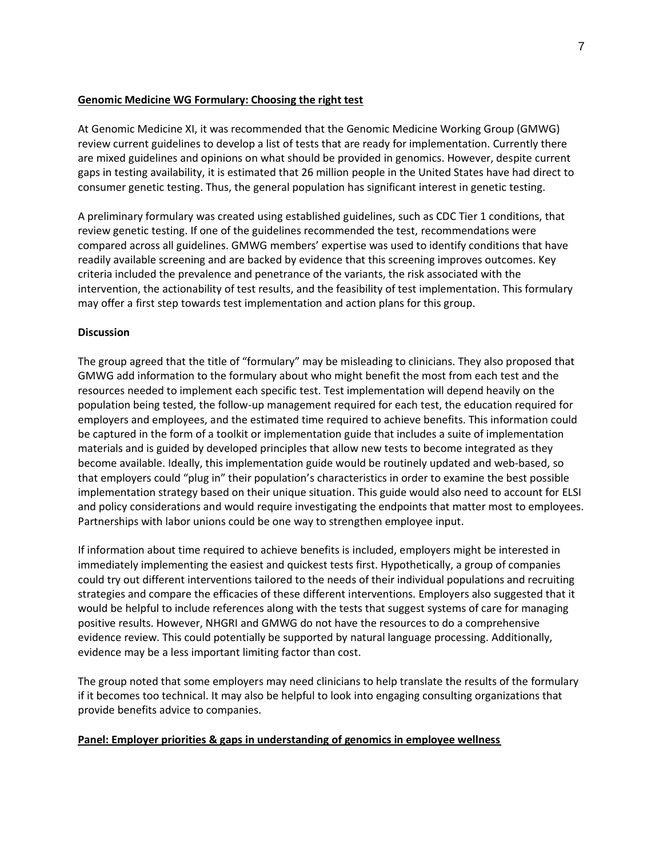## **Genomic Medicine WG Formulary: Choosing the right test**

At Genomic Medicine XI, it was recommended that the Genomic Medicine Working Group (GMWG) review current guidelines to develop a list of tests that are ready for implementation. Currently there are mixed guidelines and opinions on what should be provided in genomics. However, despite current gaps in testing availability, it is estimated that 26 million people in the United States have had direct to consumer genetic testing. Thus, the general population has significant interest in genetic testing.

A preliminary formulary was created using established guidelines, such as CDC Tier 1 conditions, that review genetic testing. If one of the guidelines recommended the test, recommendations were compared across all guidelines. GMWG members' expertise was used to identify conditions that have readily available screening and are backed by evidence that this screening improves outcomes. Key criteria included the prevalence and penetrance of the variants, the risk associated with the intervention, the actionability of test results, and the feasibility of test implementation. This formulary may offer a first step towards test implementation and action plans for this group.

## **Discussion**

The group agreed that the title of "formulary" may be misleading to clinicians. They also proposed that GMWG add information to the formulary about who might benefit the most from each test and the resources needed to implement each specific test. Test implementation will depend heavily on the population being tested, the follow-up management required for each test, the education required for employers and employees, and the estimated time required to achieve benefits. This information could be captured in the form of a toolkit or implementation guide that includes a suite of implementation materials and is guided by developed principles that allow new tests to become integrated as they become available. Ideally, this implementation guide would be routinely updated and web-based, so that employers could "plug in" their population's characteristics in order to examine the best possible implementation strategy based on their unique situation. This guide would also need to account for ELSI and policy considerations and would require investigating the endpoints that matter most to employees. Partnerships with labor unions could be one way to strengthen employee input.

If information about time required to achieve benefits is included, employers might be interested in immediately implementing the easiest and quickest tests first. Hypothetically, a group of companies could try out different interventions tailored to the needs of their individual populations and recruiting strategies and compare the efficacies of these different interventions. Employers also suggested that it would be helpful to include references along with the tests that suggest systems of care for managing positive results. However, NHGRI and GMWG do not have the resources to do a comprehensive evidence review. This could potentially be supported by natural language processing. Additionally, evidence may be a less important limiting factor than cost.

The group noted that some employers may need clinicians to help translate the results of the formulary if it becomes too technical. It may also be helpful to look into engaging consulting organizations that provide benefits advice to companies.

## **Panel: Employer priorities & gaps in understanding of genomics in employee wellness**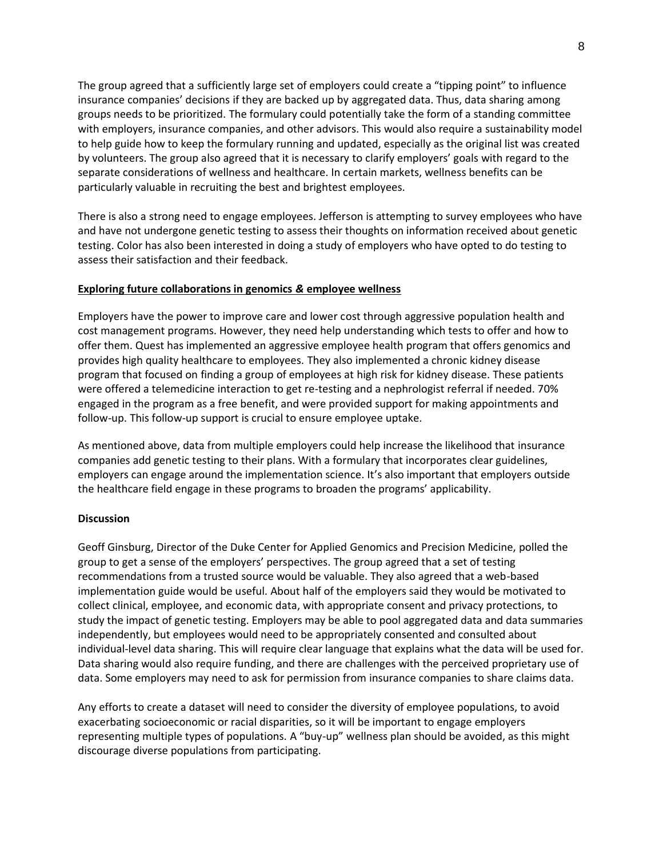The group agreed that a sufficiently large set of employers could create a "tipping point" to influence insurance companies' decisions if they are backed up by aggregated data. Thus, data sharing among groups needs to be prioritized. The formulary could potentially take the form of a standing committee with employers, insurance companies, and other advisors. This would also require a sustainability model to help guide how to keep the formulary running and updated, especially as the original list was created by volunteers. The group also agreed that it is necessary to clarify employers' goals with regard to the separate considerations of wellness and healthcare. In certain markets, wellness benefits can be particularly valuable in recruiting the best and brightest employees.

There is also a strong need to engage employees. Jefferson is attempting to survey employees who have and have not undergone genetic testing to assess their thoughts on information received about genetic testing. Color has also been interested in doing a study of employers who have opted to do testing to assess their satisfaction and their feedback.

## **Exploring future collaborations in genomics** *&* **employee wellness**

Employers have the power to improve care and lower cost through aggressive population health and cost management programs. However, they need help understanding which tests to offer and how to offer them. Quest has implemented an aggressive employee health program that offers genomics and provides high quality healthcare to employees. They also implemented a chronic kidney disease program that focused on finding a group of employees at high risk for kidney disease. These patients were offered a telemedicine interaction to get re-testing and a nephrologist referral if needed. 70% engaged in the program as a free benefit, and were provided support for making appointments and follow-up. This follow-up support is crucial to ensure employee uptake.

As mentioned above, data from multiple employers could help increase the likelihood that insurance companies add genetic testing to their plans. With a formulary that incorporates clear guidelines, employers can engage around the implementation science. It's also important that employers outside the healthcare field engage in these programs to broaden the programs' applicability.

## **Discussion**

Geoff Ginsburg, Director of the Duke Center for Applied Genomics and Precision Medicine, polled the group to get a sense of the employers' perspectives. The group agreed that a set of testing recommendations from a trusted source would be valuable. They also agreed that a web-based implementation guide would be useful. About half of the employers said they would be motivated to collect clinical, employee, and economic data, with appropriate consent and privacy protections, to study the impact of genetic testing. Employers may be able to pool aggregated data and data summaries independently, but employees would need to be appropriately consented and consulted about individual-level data sharing. This will require clear language that explains what the data will be used for. Data sharing would also require funding, and there are challenges with the perceived proprietary use of data. Some employers may need to ask for permission from insurance companies to share claims data.

Any efforts to create a dataset will need to consider the diversity of employee populations, to avoid exacerbating socioeconomic or racial disparities, so it will be important to engage employers representing multiple types of populations. A "buy-up" wellness plan should be avoided, as this might discourage diverse populations from participating.